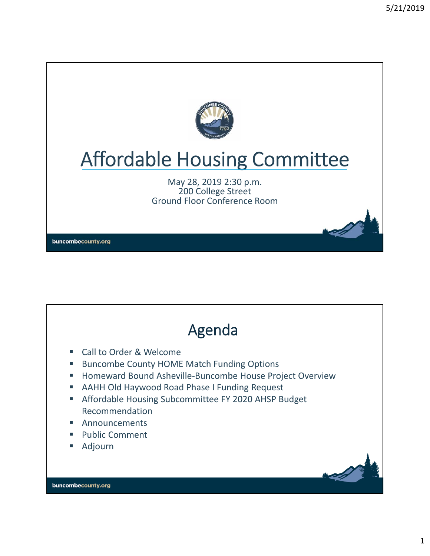

# Affordable Housing Committee

May 28, 2019 2:30 p.m. 200 College Street Ground Floor Conference Room

buncombecounty.org

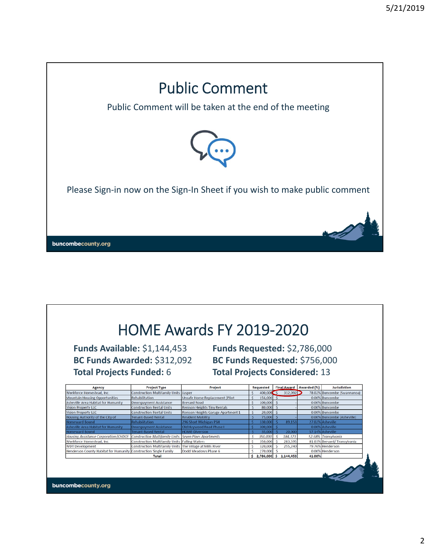

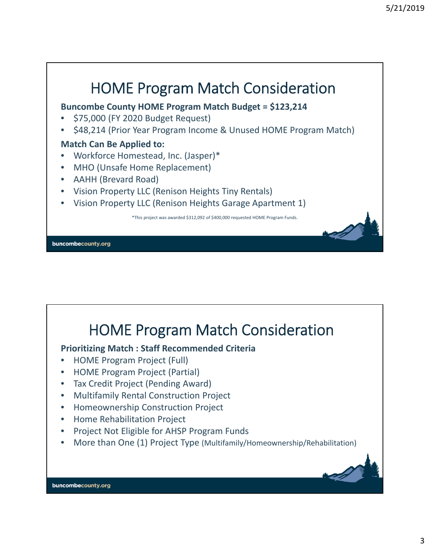

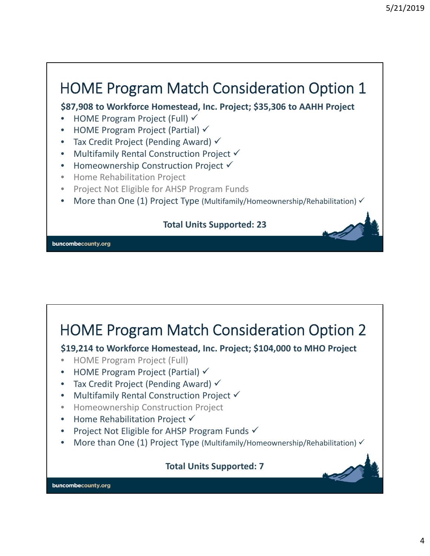### HOME Program Match Consideration Option 1

**\$87,908 to Workforce Homestead, Inc. Project; \$35,306 to AAHH Project**

- HOME Program Project (Full)  $\checkmark$
- **HOME Program Project (Partial)**  $\checkmark$
- Tax Credit Project (Pending Award)  $\checkmark$
- Multifamily Rental Construction Project  $\checkmark$
- Homeownership Construction Project  $\checkmark$
- Home Rehabilitation Project
- Project Not Eligible for AHSP Program Funds
- More than One (1) Project Type (Multifamily/Homeownership/Rehabilitation)  $\checkmark$

#### **Total Units Supported: 23**

buncombecounty.org

### HOME Program Match Consideration Option 2 **\$19,214 to Workforce Homestead, Inc. Project; \$104,000 to MHO Project** • HOME Program Project (Full) • HOME Program Project (Partial)  $\checkmark$ • Tax Credit Project (Pending Award)  $\checkmark$ • Multifamily Rental Construction Project V • Homeownership Construction Project • Home Rehabilitation Project  $\checkmark$ • Project Not Eligible for AHSP Program Funds  $\checkmark$ • More than One (1) Project Type (Multifamily/Homeownership/Rehabilitation) **Total Units Supported: 7**buncombecounty.org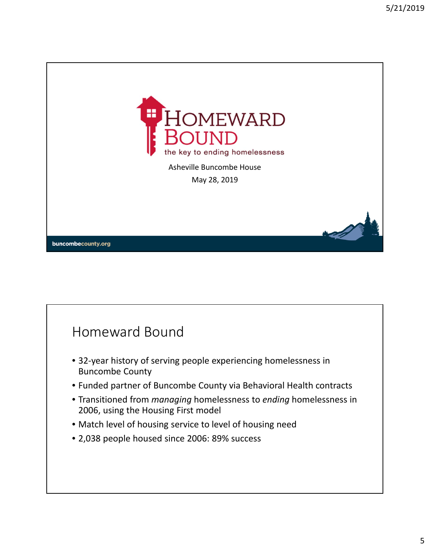

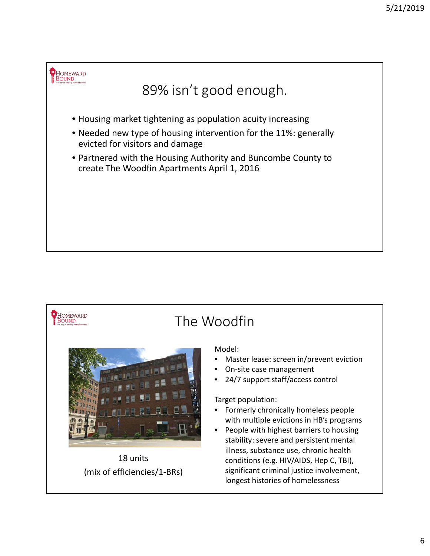



18 units (mix of efficiencies/1‐BRs)

#### Model:

- Master lease: screen in/prevent eviction
- On‐site case management
- 24/7 support staff/access control

#### Target population:

- Formerly chronically homeless people with multiple evictions in HB's programs
- People with highest barriers to housing stability: severe and persistent mental illness, substance use, chronic health conditions (e.g. HIV/AIDS, Hep C, TBI), significant criminal justice involvement, longest histories of homelessness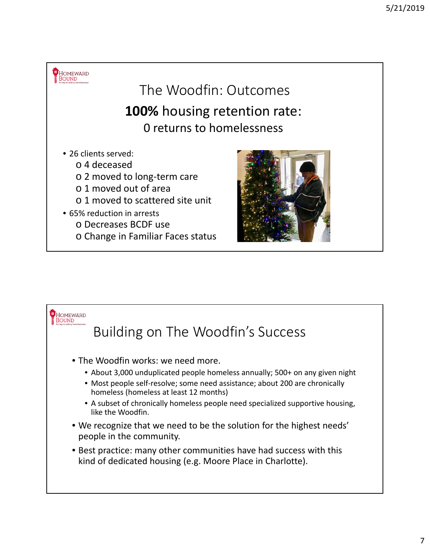

o Change in Familiar Faces status

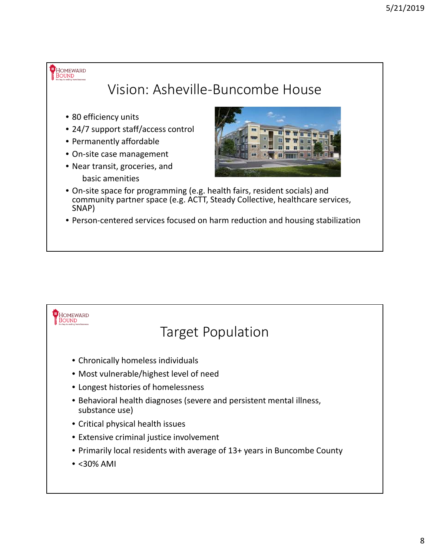HOMEWARD Vision: Asheville‐Buncombe House • 80 efficiency units • 24/7 support staff/access control • Permanently affordable

- On‐site case management
- Near transit, groceries, and basic amenities



- On‐site space for programming (e.g. health fairs, resident socials) and community partner space (e.g. ACTT, Steady Collective, healthcare services, SNAP)
- Person‐centered services focused on harm reduction and housing stabilization

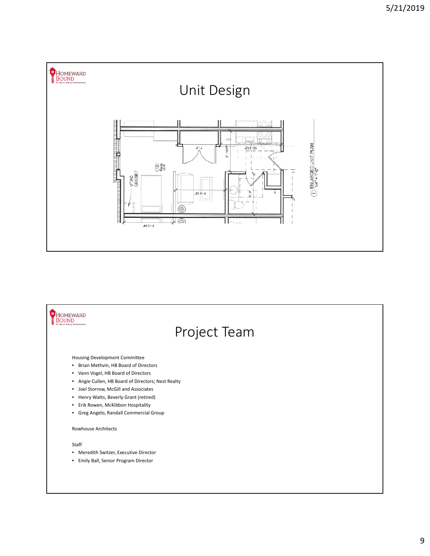

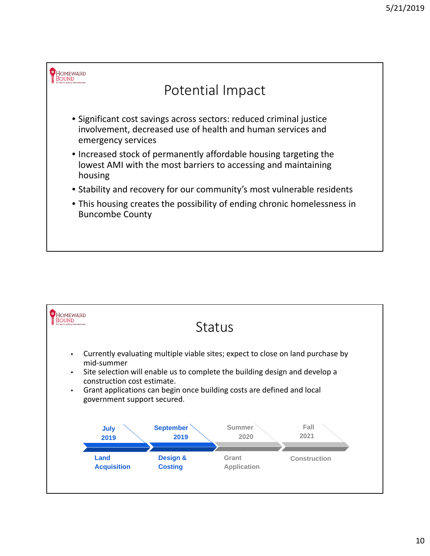

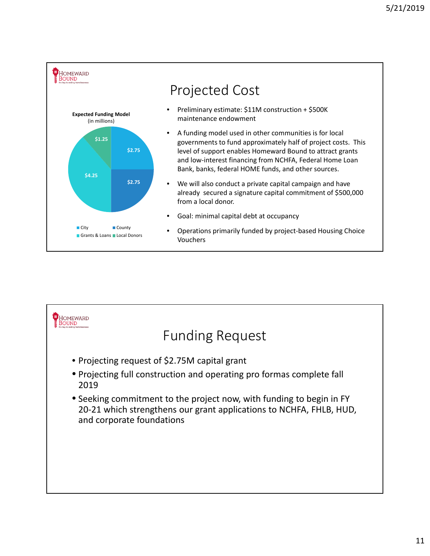

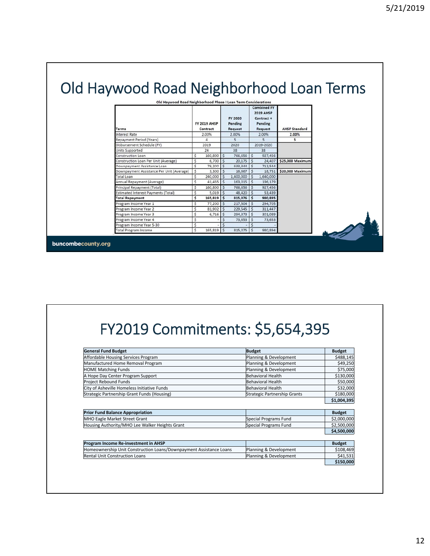## Old Haywood Road Neighborhood Loan Terms

| <b>Terms</b>                              |    | <b>FY 2019 AHSP</b><br>Contract |              | FY 2020<br>Pending<br>Request |            | <b>Combined FY</b><br><b>2019 AHSP</b><br>Contract +<br>Pending<br><b>Request</b> | <b>AHSP Standard</b> |
|-------------------------------------------|----|---------------------------------|--------------|-------------------------------|------------|-----------------------------------------------------------------------------------|----------------------|
| <b>Interest Rate</b>                      |    | 2.00%                           |              | 2.00%                         |            | 2.00%                                                                             | 2.00%                |
| Repayment Period (Years)                  |    | 4                               |              | 5                             |            | 5.                                                                                | 5                    |
| Disbursement Schedule (FY)                |    | 2019                            |              | 2020                          |            | 2019-2020                                                                         |                      |
| Units Supported                           |    | 24                              |              | 38                            |            | 38                                                                                |                      |
| Construction Loan                         | \$ | 160,800                         | \$           | 766,656 \$                    |            | 927,456                                                                           |                      |
| Construction Loan Per Unit (Average)      | \$ | 6,700                           | <sub>S</sub> | $20.175$ \ \$                 |            | 24,407                                                                            | \$25,000 Maximum     |
| Downpayment Assistance Loan               | \$ | 79,200                          | s.           | 633,344                       | $\vert$ s  | 712,544                                                                           |                      |
| Downpayment Assistance Per Unit (Average) | Ś  | 3,300                           | \$           | 16,667                        | $\vert$ s  | 18,751                                                                            | \$20,000 Maximum     |
| <b>Total Loan</b>                         | \$ | 240,000                         | Ś            | 1,400,000                     | $\vert$ s  | 1,640,000                                                                         |                      |
| Annual Repayment (Average)                | \$ | 41,455                          | $\mathsf{S}$ | $163,015$ \$                  |            | 196,179                                                                           |                      |
| Principal Repayment (Total)               | Ś  | 160,800                         | Ś            | 766,656 \$                    |            | 927,456                                                                           |                      |
| Estimated Interest Payments (Total)       | \$ | 5,019                           | Ś            | 48,420                        | $\vert$ \$ | 53,439                                                                            |                      |
| <b>Total Repayment</b>                    | \$ | $165,819$ \$                    |              | $815,076$ \$                  |            | 980,895                                                                           |                      |
| Program Income Year 1                     | Ś  | 77,200                          | .S           | 217,504                       | $\vert$ \$ | 294,705                                                                           |                      |
| Program Income Year 2                     | \$ | 81,902                          | Ś            | $229,545$ \$                  |            | 311,447                                                                           |                      |
| Program Income Year 3                     | \$ | 6,716                           | \$           | $294,373$ \$                  |            | 301,089                                                                           |                      |
| Program Income Year 4                     | \$ |                                 | \$           | $73,653$ \$                   |            | 73,653                                                                            |                      |
| Program Income Year 5-30                  | \$ |                                 | Ś            |                               |            |                                                                                   |                      |
| Total Program Income                      | \$ | $165,819$ \$                    |              | $815,075$ \$                  |            | 980,894                                                                           |                      |

buncombecounty.org

## FY2019 Commitments: \$5,654,395

| <b>General Fund Budget</b>                                         | <b>Budget</b>                | <b>Budget</b> |
|--------------------------------------------------------------------|------------------------------|---------------|
| Affordable Housing Services Program                                | Planning & Development       | \$488,145     |
| Manufactured Home Removal Program                                  | Planning & Development       | \$49,250      |
| <b>HOME Matching Funds</b>                                         | Planning & Development       | \$75,000      |
| A Hope Day Center Program Support                                  | Behavioral Health            | \$130,000     |
| Project Rebound Funds                                              | Behavioral Health            | \$50,000      |
| City of Asheville Homeless Initiative Funds                        | <b>Behavioral Health</b>     | \$32,000      |
| Strategic Partnership Grant Funds (Housing)                        | Strategic Partnership Grants | \$180,000     |
|                                                                    |                              | \$1,004,395   |
|                                                                    |                              |               |
|                                                                    |                              |               |
| <b>Prior Fund Balance Appropriation</b>                            |                              | <b>Budget</b> |
| MHO Eagle Market Street Grant                                      | Special Programs Fund        | \$2,000,000   |
| Housing Authority/MHO Lee Walker Heights Grant                     | Special Programs Fund        | \$2,500,000   |
|                                                                    |                              | \$4,500,000   |
|                                                                    |                              |               |
| Program Income Re-investment in AHSP                               |                              | <b>Budget</b> |
| Homeownership Unit Construction Loans/Downpayment Assistance Loans | Planning & Development       | \$108,469     |
| <b>Rental Unit Construction Loans</b>                              | Planning & Development       | \$41,531      |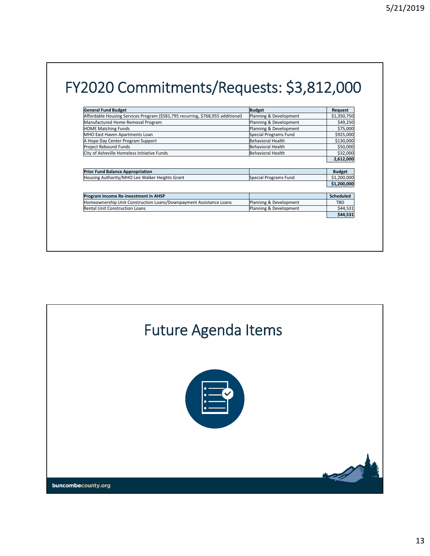## FY2020 Commitments/Requests: \$3,812,000

| <b>General Fund Budget</b>                                                      | <b>Budget</b>          | Request                    |
|---------------------------------------------------------------------------------|------------------------|----------------------------|
| Affordable Housing Services Program (\$581,795 recurring, \$768,955 additional) | Planning & Development | \$1,350,750                |
| Manufactured Home Removal Program                                               | Planning & Development | \$49,250                   |
| <b>HOME Matching Funds</b>                                                      | Planning & Development | \$75,000                   |
| MHO East Haven Apartments Loan                                                  | Special Programs Fund  | \$925,000                  |
| A Hope Day Center Program Support                                               | Behavioral Health      | \$130,000                  |
| Project Rebound Funds                                                           | Behavioral Health      | \$50,000                   |
| City of Asheville Homeless Initiative Funds                                     | Behavioral Health      | \$32,000                   |
|                                                                                 |                        | 2,612,000                  |
|                                                                                 |                        |                            |
|                                                                                 |                        |                            |
| <b>Prior Fund Balance Appropriation</b>                                         |                        | <b>Budget</b>              |
| Housing Authority/MHO Lee Walker Heights Grant                                  | Special Programs Fund  |                            |
|                                                                                 |                        | \$1,200,000<br>\$1,200,000 |
|                                                                                 |                        |                            |
| Program Income Re-investment in AHSP                                            |                        | <b>Scheduled</b>           |
| Homeownership Unit Construction Loans/Downpayment Assistance Loans              | Planning & Development | TBD                        |
| <b>Rental Unit Construction Loans</b>                                           | Planning & Development | \$44,531                   |

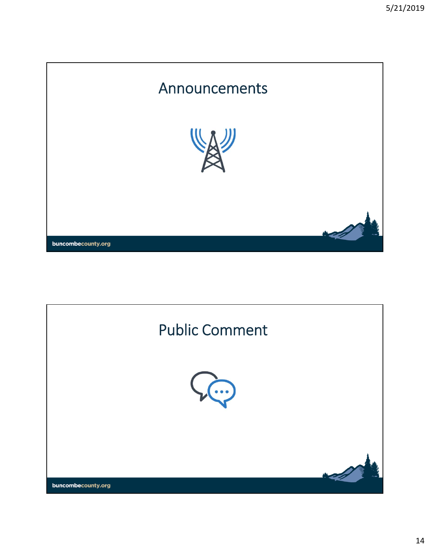